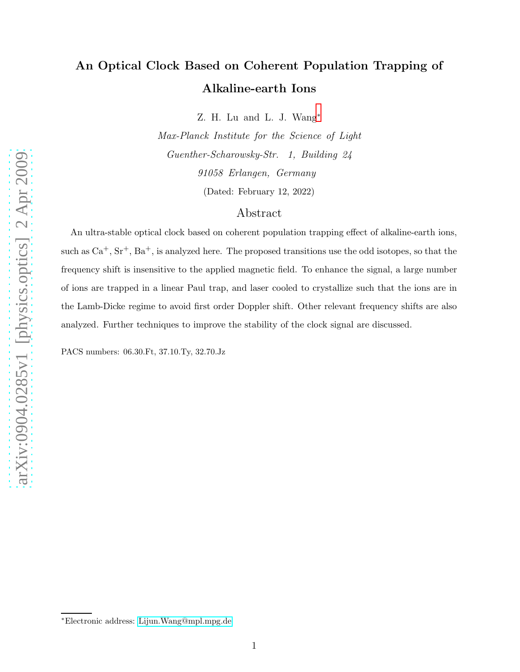## An Optical Clock Based on Coherent Population Trapping of Alkaline-earth Ions

Z. H. Lu and L. J. Wang[∗](#page-0-0)

Max-Planck Institute for the Science of Light Guenther-Scharowsky-Str. 1, Building 24 91058 Erlangen, Germany

(Dated: February 12, 2022)

## Abstract

An ultra-stable optical clock based on coherent population trapping effect of alkaline-earth ions, such as  $Ca^+$ ,  $Sr^+$ ,  $Ba^+$ , is analyzed here. The proposed transitions use the odd isotopes, so that the frequency shift is insensitive to the applied magnetic field. To enhance the signal, a large number of ions are trapped in a linear Paul trap, and laser cooled to crystallize such that the ions are in the Lamb-Dicke regime to avoid first order Doppler shift. Other relevant frequency shifts are also analyzed. Further techniques to improve the stability of the clock signal are discussed.

PACS numbers: 06.30.Ft, 37.10.Ty, 32.70.Jz

<span id="page-0-0"></span><sup>∗</sup>Electronic address: [Lijun.Wang@mpl.mpg.de](mailto:Lijun.Wang@mpl.mpg.de)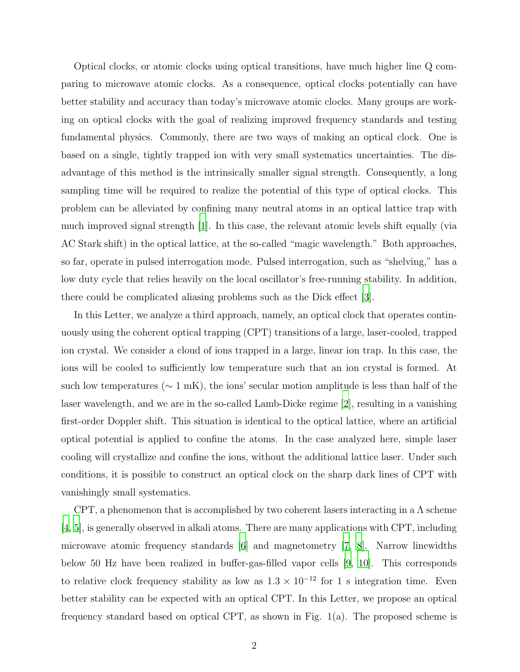Optical clocks, or atomic clocks using optical transitions, have much higher line Q comparing to microwave atomic clocks. As a consequence, optical clocks potentially can have better stability and accuracy than today's microwave atomic clocks. Many groups are working on optical clocks with the goal of realizing improved frequency standards and testing fundamental physics. Commonly, there are two ways of making an optical clock. One is based on a single, tightly trapped ion with very small systematics uncertainties. The disadvantage of this method is the intrinsically smaller signal strength. Consequently, a long sampling time will be required to realize the potential of this type of optical clocks. This problem can be alleviated by confining many neutral atoms in an optical lattice trap with much improved signal strength [\[1](#page-8-0)]. In this case, the relevant atomic levels shift equally (via AC Stark shift) in the optical lattice, at the so-called "magic wavelength." Both approaches, so far, operate in pulsed interrogation mode. Pulsed interrogation, such as "shelving," has a low duty cycle that relies heavily on the local oscillator's free-running stability. In addition, there could be complicated aliasing problems such as the Dick effect [\[3\]](#page-8-1).

In this Letter, we analyze a third approach, namely, an optical clock that operates continuously using the coherent optical trapping (CPT) transitions of a large, laser-cooled, trapped ion crystal. We consider a cloud of ions trapped in a large, linear ion trap. In this case, the ions will be cooled to sufficiently low temperature such that an ion crystal is formed. At such low temperatures ( $\sim 1 \text{ mK}$ ), the ions' secular motion amplitude is less than half of the laser wavelength, and we are in the so-called Lamb-Dicke regime [\[2\]](#page-8-2), resulting in a vanishing first-order Doppler shift. This situation is identical to the optical lattice, where an artificial optical potential is applied to confine the atoms. In the case analyzed here, simple laser cooling will crystallize and confine the ions, without the additional lattice laser. Under such conditions, it is possible to construct an optical clock on the sharp dark lines of CPT with vanishingly small systematics.

CPT, a phenomenon that is accomplished by two coherent lasers interacting in a  $\Lambda$  scheme [\[4](#page-8-3), [5](#page-8-4)], is generally observed in alkali atoms. There are many applications with CPT, including microwave atomic frequency standards [\[6](#page-8-5)] and magnetometry [\[7](#page-8-6), [8](#page-8-7)]. Narrow linewidths below 50 Hz have been realized in buffer-gas-filled vapor cells [\[9](#page-8-8), [10\]](#page-8-9). This corresponds to relative clock frequency stability as low as  $1.3 \times 10^{-12}$  for 1 s integration time. Even better stability can be expected with an optical CPT. In this Letter, we propose an optical frequency standard based on optical CPT, as shown in Fig. 1(a). The proposed scheme is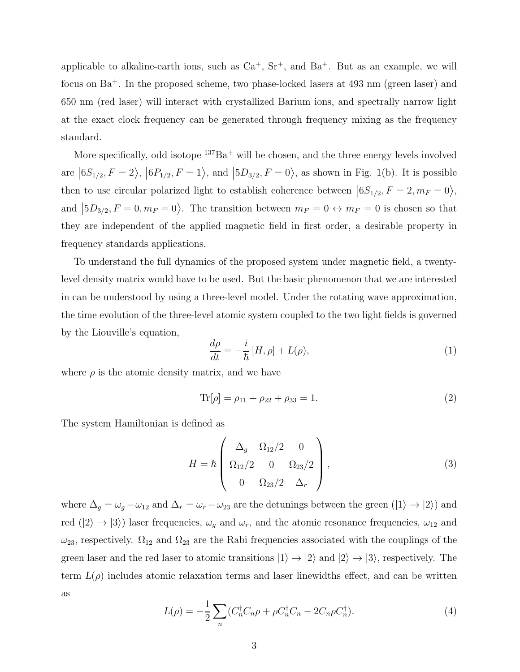applicable to alkaline-earth ions, such as  $Ca^+$ ,  $Sr^+$ , and  $Ba^+$ . But as an example, we will focus on Ba<sup>+</sup>. In the proposed scheme, two phase-locked lasers at 493 nm (green laser) and 650 nm (red laser) will interact with crystallized Barium ions, and spectrally narrow light at the exact clock frequency can be generated through frequency mixing as the frequency standard.

More specifically, odd isotope  $137Ba<sup>+</sup>$  will be chosen, and the three energy levels involved are  $|6S_{1/2}, F = 2\rangle, |6P_{1/2}, F = 1\rangle$ , and  $|5D_{3/2}, F = 0\rangle$ , as shown in Fig. 1(b). It is possible then to use circular polarized light to establish coherence between  $|6S_{1/2}, F = 2, m_F = 0\rangle$ , and  $\left|5D_{3/2}, F=0, m_F=0\right\rangle$ . The transition between  $m_F=0 \leftrightarrow m_F=0$  is chosen so that they are independent of the applied magnetic field in first order, a desirable property in frequency standards applications.

To understand the full dynamics of the proposed system under magnetic field, a twentylevel density matrix would have to be used. But the basic phenomenon that we are interested in can be understood by using a three-level model. Under the rotating wave approximation, the time evolution of the three-level atomic system coupled to the two light fields is governed by the Liouville's equation,

<span id="page-2-1"></span>
$$
\frac{d\rho}{dt} = -\frac{i}{\hbar} \left[ H, \rho \right] + L(\rho),\tag{1}
$$

where  $\rho$  is the atomic density matrix, and we have

$$
\text{Tr}[\rho] = \rho_{11} + \rho_{22} + \rho_{33} = 1. \tag{2}
$$

The system Hamiltonian is defined as

$$
H = \hbar \begin{pmatrix} \Delta_g & \Omega_{12}/2 & 0 \\ \Omega_{12}/2 & 0 & \Omega_{23}/2 \\ 0 & \Omega_{23}/2 & \Delta_r \end{pmatrix},
$$
 (3)

where  $\Delta_g = \omega_g - \omega_{12}$  and  $\Delta_r = \omega_r - \omega_{23}$  are the detunings between the green  $(|1\rangle \rightarrow |2\rangle)$  and red  $(|2\rangle \rightarrow |3\rangle)$  laser frequencies,  $\omega_g$  and  $\omega_r$ , and the atomic resonance frequencies,  $\omega_{12}$  and  $\omega_{23}$ , respectively.  $\Omega_{12}$  and  $\Omega_{23}$  are the Rabi frequencies associated with the couplings of the green laser and the red laser to atomic transitions  $|1\rangle \rightarrow |2\rangle$  and  $|2\rangle \rightarrow |3\rangle$ , respectively. The term  $L(\rho)$  includes atomic relaxation terms and laser linewidths effect, and can be written as

<span id="page-2-0"></span>
$$
L(\rho) = -\frac{1}{2} \sum_{n} (C_{n}^{\dagger} C_{n} \rho + \rho C_{n}^{\dagger} C_{n} - 2C_{n} \rho C_{n}^{\dagger}).
$$
\n(4)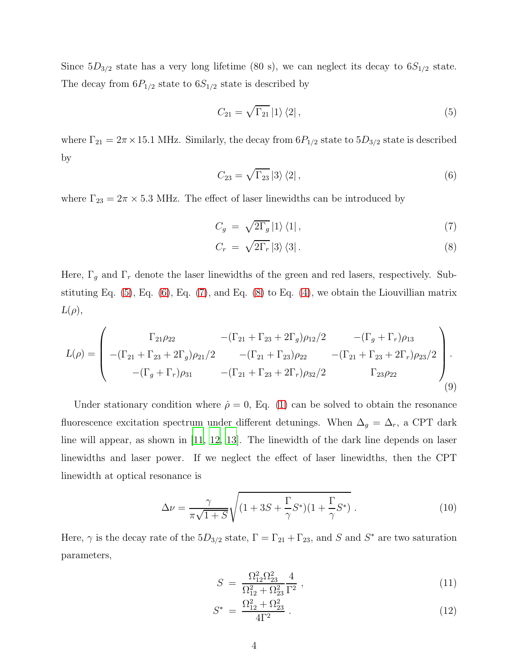Since  $5D_{3/2}$  state has a very long lifetime (80 s), we can neglect its decay to  $6S_{1/2}$  state. The decay from  $6P_{1/2}$  state to  $6S_{1/2}$  state is described by

<span id="page-3-0"></span>
$$
C_{21} = \sqrt{\Gamma_{21}} \left| 1 \right\rangle \left\langle 2 \right|,\tag{5}
$$

where  $\Gamma_{21} = 2\pi \times 15.1$  MHz. Similarly, the decay from  $6P_{1/2}$  state to  $5D_{3/2}$  state is described by

<span id="page-3-1"></span>
$$
C_{23} = \sqrt{\Gamma_{23}} \left| 3 \right\rangle \left\langle 2 \right|,\tag{6}
$$

where  $\Gamma_{23} = 2\pi \times 5.3$  MHz. The effect of laser linewidths can be introduced by

<span id="page-3-2"></span>
$$
C_g = \sqrt{2\Gamma_g} \left| 1 \right\rangle \left\langle 1 \right|,\tag{7}
$$

$$
C_r = \sqrt{2\Gamma_r} \left|3\right\rangle \left\langle 3\right|.\tag{8}
$$

Here,  $\Gamma_g$  and  $\Gamma_r$  denote the laser linewidths of the green and red lasers, respectively. Substituting Eq.  $(5)$ , Eq.  $(6)$ , Eq.  $(7)$ , and Eq.  $(8)$  to Eq.  $(4)$ , we obtain the Liouvillian matrix  $L(\rho),$ 

$$
L(\rho) = \begin{pmatrix} \Gamma_{21}\rho_{22} & -(\Gamma_{21} + \Gamma_{23} + 2\Gamma_g)\rho_{12}/2 & -(\Gamma_g + \Gamma_r)\rho_{13} \\ -(\Gamma_{21} + \Gamma_{23} + 2\Gamma_g)\rho_{21}/2 & -(\Gamma_{21} + \Gamma_{23})\rho_{22} & -(\Gamma_{21} + \Gamma_{23} + 2\Gamma_r)\rho_{23}/2 \\ -(\Gamma_g + \Gamma_r)\rho_{31} & -(\Gamma_{21} + \Gamma_{23} + 2\Gamma_r)\rho_{32}/2 & \Gamma_{23}\rho_{22} \end{pmatrix} .
$$
\n(9)

Under stationary condition where  $\dot{\rho} = 0$ , Eq. [\(1\)](#page-2-1) can be solved to obtain the resonance fluorescence excitation spectrum under different detunings. When  $\Delta_g = \Delta_r$ , a CPT dark line will appear, as shown in [\[11,](#page-8-10) [12,](#page-8-11) [13\]](#page-8-12). The linewidth of the dark line depends on laser linewidths and laser power. If we neglect the effect of laser linewidths, then the CPT linewidth at optical resonance is

$$
\Delta \nu = \frac{\gamma}{\pi \sqrt{1+S}} \sqrt{(1+3S+\frac{\Gamma}{\gamma}S^*)(1+\frac{\Gamma}{\gamma}S^*)} \ . \tag{10}
$$

Here,  $\gamma$  is the decay rate of the  $5D_{3/2}$  state,  $\Gamma = \Gamma_{21} + \Gamma_{23}$ , and S and S<sup>\*</sup> are two saturation parameters,

$$
S = \frac{\Omega_{12}^2 \Omega_{23}^2}{\Omega_{12}^2 + \Omega_{23}^2} \frac{4}{\Gamma^2} \,, \tag{11}
$$

$$
S^* = \frac{\Omega_{12}^2 + \Omega_{23}^2}{4\Gamma^2} \,. \tag{12}
$$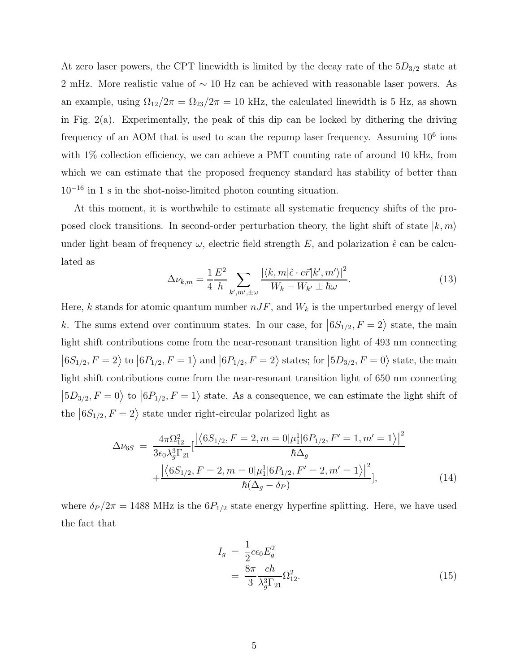At zero laser powers, the CPT linewidth is limited by the decay rate of the  $5D_{3/2}$  state at 2 mHz. More realistic value of ∼ 10 Hz can be achieved with reasonable laser powers. As an example, using  $\Omega_{12}/2\pi = \Omega_{23}/2\pi = 10$  kHz, the calculated linewidth is 5 Hz, as shown in Fig.  $2(a)$ . Experimentally, the peak of this dip can be locked by dithering the driving frequency of an AOM that is used to scan the repump laser frequency. Assuming  $10^6$  ions with  $1\%$  collection efficiency, we can achieve a PMT counting rate of around 10 kHz, from which we can estimate that the proposed frequency standard has stability of better than  $10^{-16}$  in 1 s in the shot-noise-limited photon counting situation.

At this moment, it is worthwhile to estimate all systematic frequency shifts of the proposed clock transitions. In second-order perturbation theory, the light shift of state  $|k, m\rangle$ under light beam of frequency  $\omega$ , electric field strength E, and polarization  $\hat{\epsilon}$  can be calculated as

$$
\Delta\nu_{k,m} = \frac{1}{4} \frac{E^2}{h} \sum_{k',m',\pm\omega} \frac{|\langle k,m|\hat{\epsilon}\cdot e\vec{r}|k',m'\rangle|^2}{W_k - W_{k'} \pm \hbar\omega}.
$$
\n(13)

Here, k stands for atomic quantum number  $nJF$ , and  $W_k$  is the unperturbed energy of level k. The sums extend over continuum states. In our case, for  $|6S_{1/2}, F = 2\rangle$  state, the main light shift contributions come from the near-resonant transition light of 493 nm connecting  $|6S_{1/2}, F = 2\rangle$  to  $|6P_{1/2}, F = 1\rangle$  and  $|6P_{1/2}, F = 2\rangle$  states; for  $|5D_{3/2}, F = 0\rangle$  state, the main light shift contributions come from the near-resonant transition light of 650 nm connecting  $\ket{5D_{3/2}, F=0}$  to  $\ket{6P_{1/2}, F=1}$  state. As a consequence, we can estimate the light shift of the  $|6S_{1/2}, F = 2\rangle$  state under right-circular polarized light as

<span id="page-4-0"></span>
$$
\Delta \nu_{6S} = \frac{4\pi \Omega_{12}^2}{3\epsilon_0 \lambda_g^3 \Gamma_{21}} \left[ \frac{\left| \left\langle 6S_{1/2}, F = 2, m = 0 | \mu_1^1 | 6P_{1/2}, F' = 1, m' = 1 \right\rangle \right|^2}{\hbar \Delta_g} + \frac{\left| \left\langle 6S_{1/2}, F = 2, m = 0 | \mu_1^1 | 6P_{1/2}, F' = 2, m' = 1 \right\rangle \right|^2}{\hbar (\Delta_g - \delta_P)}, \tag{14}
$$

where  $\delta_P/2\pi = 1488$  MHz is the  $6P_{1/2}$  state energy hyperfine splitting. Here, we have used the fact that

$$
I_g = \frac{1}{2} c \epsilon_0 E_g^2
$$
  
= 
$$
\frac{8\pi}{3} \frac{ch}{\lambda_g^3 \Gamma_{21}} \Omega_{12}^2.
$$
 (15)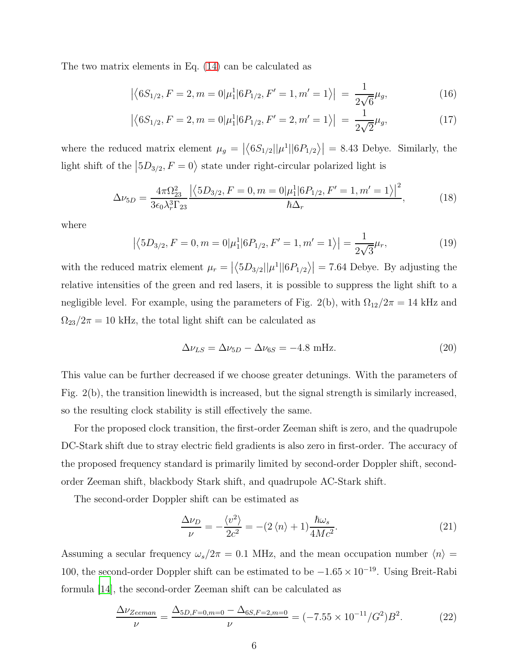The two matrix elements in Eq. [\(14\)](#page-4-0) can be calculated as

$$
\left| \left\langle 6S_{1/2}, F = 2, m = 0 | \mu_1^1 | 6P_{1/2}, F' = 1, m' = 1 \right\rangle \right| = \frac{1}{2\sqrt{6}} \mu_g,
$$
\n(16)

$$
\left| \left\langle 6S_{1/2}, F = 2, m = 0 | \mu_1^1 | 6P_{1/2}, F' = 2, m' = 1 \right\rangle \right| \ = \ \frac{1}{2\sqrt{2}} \mu_g,\tag{17}
$$

where the reduced matrix element  $\mu_g = |\langle 6S_{1/2} || \mu^1 || 6P_{1/2} \rangle | = 8.43$  Debye. Similarly, the light shift of the  $|5D_{3/2}, F=0\rangle$  state under right-circular polarized light is

$$
\Delta\nu_{5D} = \frac{4\pi\Omega_{23}^2}{3\epsilon_0\lambda_r^3\Gamma_{23}} \frac{\left|\left\langle 5D_{3/2}, F = 0, m = 0|\mu_1^1|6P_{1/2}, F' = 1, m' = 1\right\rangle\right|^2}{\hbar\Delta_r},\tag{18}
$$

where

$$
\left| \left\langle 5D_{3/2}, F = 0, m = 0 | \mu_1^1 | 6P_{1/2}, F' = 1, m' = 1 \right\rangle \right| = \frac{1}{2\sqrt{3}} \mu_r,\tag{19}
$$

with the reduced matrix element  $\mu_r = |\langle 5D_{3/2} || \mu^1 || 6P_{1/2} \rangle| = 7.64$  Debye. By adjusting the relative intensities of the green and red lasers, it is possible to suppress the light shift to a negligible level. For example, using the parameters of Fig. 2(b), with  $\Omega_{12}/2\pi = 14$  kHz and  $\Omega_{23}/2\pi=10$  kHz, the total light shift can be calculated as

$$
\Delta\nu_{LS} = \Delta\nu_{5D} - \Delta\nu_{6S} = -4.8 \text{ mHz}.
$$
\n(20)

This value can be further decreased if we choose greater detunings. With the parameters of Fig. 2(b), the transition linewidth is increased, but the signal strength is similarly increased, so the resulting clock stability is still effectively the same.

For the proposed clock transition, the first-order Zeeman shift is zero, and the quadrupole DC-Stark shift due to stray electric field gradients is also zero in first-order. The accuracy of the proposed frequency standard is primarily limited by second-order Doppler shift, secondorder Zeeman shift, blackbody Stark shift, and quadrupole AC-Stark shift.

The second-order Doppler shift can be estimated as

$$
\frac{\Delta \nu_D}{\nu} = -\frac{\langle v^2 \rangle}{2c^2} = -(2\langle n \rangle + 1) \frac{\hbar \omega_s}{4Mc^2}.
$$
\n(21)

Assuming a secular frequency  $\omega_s/2\pi = 0.1$  MHz, and the mean occupation number  $\langle n \rangle =$ 100, the second-order Doppler shift can be estimated to be  $-1.65 \times 10^{-19}$ . Using Breit-Rabi formula [\[14\]](#page-8-13), the second-order Zeeman shift can be calculated as

$$
\frac{\Delta \nu_{Zeeman}}{\nu} = \frac{\Delta_{5D,F=0,m=0} - \Delta_{6S,F=2,m=0}}{\nu} = (-7.55 \times 10^{-11}/G^2)B^2.
$$
 (22)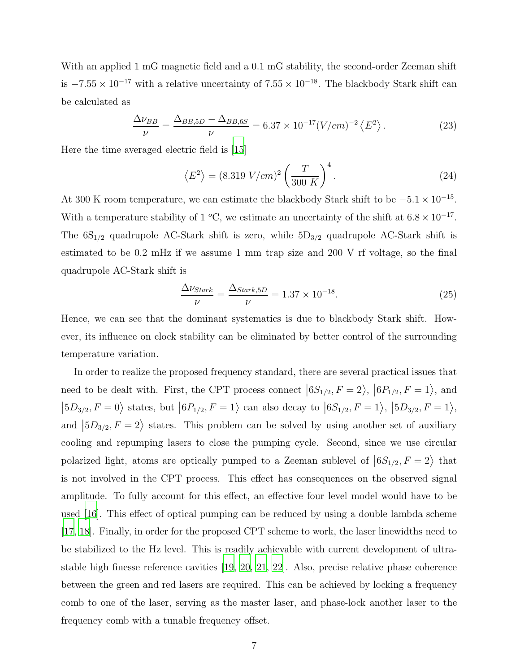With an applied 1 mG magnetic field and a 0.1 mG stability, the second-order Zeeman shift is  $-7.55 \times 10^{-17}$  with a relative uncertainty of  $7.55 \times 10^{-18}$ . The blackbody Stark shift can be calculated as

$$
\frac{\Delta \nu_{BB}}{\nu} = \frac{\Delta_{BB,5D} - \Delta_{BB,6S}}{\nu} = 6.37 \times 10^{-17} (V/cm)^{-2} \left\langle E^2 \right\rangle. \tag{23}
$$

Here the time averaged electric field is [\[15](#page-8-14)]

$$
\langle E^2 \rangle = (8.319 \text{ V/cm})^2 \left(\frac{T}{300 \text{ K}}\right)^4. \tag{24}
$$

At 300 K room temperature, we can estimate the blackbody Stark shift to be  $-5.1 \times 10^{-15}$ . With a temperature stability of 1 <sup>o</sup>C, we estimate an uncertainty of the shift at  $6.8 \times 10^{-17}$ . The  $6S_{1/2}$  quadrupole AC-Stark shift is zero, while  $5D_{3/2}$  quadrupole AC-Stark shift is estimated to be 0.2 mHz if we assume 1 mm trap size and 200 V rf voltage, so the final quadrupole AC-Stark shift is

$$
\frac{\Delta \nu_{Stark}}{\nu} = \frac{\Delta_{Stark,5D}}{\nu} = 1.37 \times 10^{-18}.\tag{25}
$$

Hence, we can see that the dominant systematics is due to blackbody Stark shift. However, its influence on clock stability can be eliminated by better control of the surrounding temperature variation.

In order to realize the proposed frequency standard, there are several practical issues that need to be dealt with. First, the CPT process connect  $|6S_{1/2}, F = 2\rangle, |6P_{1/2}, F = 1\rangle$ , and  $\left|5D_{3/2}, F = 0\right\rangle$  states, but  $\left|6P_{1/2}, F = 1\right\rangle$  can also decay to  $\left|6S_{1/2}, F = 1\right\rangle$ ,  $\left|5D_{3/2}, F = 1\right\rangle$ , and  $\ket{5D_{3/2}, F=2}$  states. This problem can be solved by using another set of auxiliary cooling and repumping lasers to close the pumping cycle. Second, since we use circular polarized light, atoms are optically pumped to a Zeeman sublevel of  $|6S_{1/2}, F = 2\rangle$  that is not involved in the CPT process. This effect has consequences on the observed signal amplitude. To fully account for this effect, an effective four level model would have to be used [\[16\]](#page-8-15). This effect of optical pumping can be reduced by using a double lambda scheme [\[17](#page-8-16), [18](#page-8-17)]. Finally, in order for the proposed CPT scheme to work, the laser linewidths need to be stabilized to the Hz level. This is readily achievable with current development of ultrastable high finesse reference cavities [\[19,](#page-8-18) [20,](#page-8-19) [21,](#page-8-20) [22\]](#page-8-21). Also, precise relative phase coherence between the green and red lasers are required. This can be achieved by locking a frequency comb to one of the laser, serving as the master laser, and phase-lock another laser to the frequency comb with a tunable frequency offset.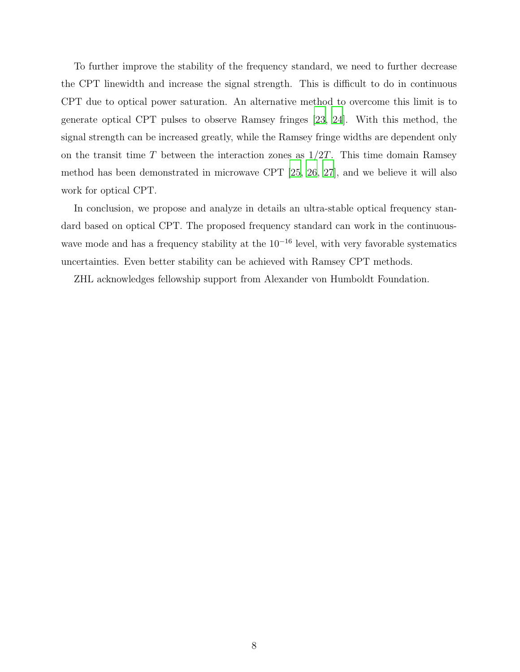To further improve the stability of the frequency standard, we need to further decrease the CPT linewidth and increase the signal strength. This is difficult to do in continuous CPT due to optical power saturation. An alternative method to overcome this limit is to generate optical CPT pulses to observe Ramsey fringes [\[23](#page-9-0), [24\]](#page-9-1). With this method, the signal strength can be increased greatly, while the Ramsey fringe widths are dependent only on the transit time  $T$  between the interaction zones as  $1/2T$ . This time domain Ramsey method has been demonstrated in microwave CPT [\[25](#page-9-2), [26,](#page-9-3) [27](#page-9-4)], and we believe it will also work for optical CPT.

In conclusion, we propose and analyze in details an ultra-stable optical frequency standard based on optical CPT. The proposed frequency standard can work in the continuouswave mode and has a frequency stability at the  $10^{-16}$  level, with very favorable systematics uncertainties. Even better stability can be achieved with Ramsey CPT methods.

ZHL acknowledges fellowship support from Alexander von Humboldt Foundation.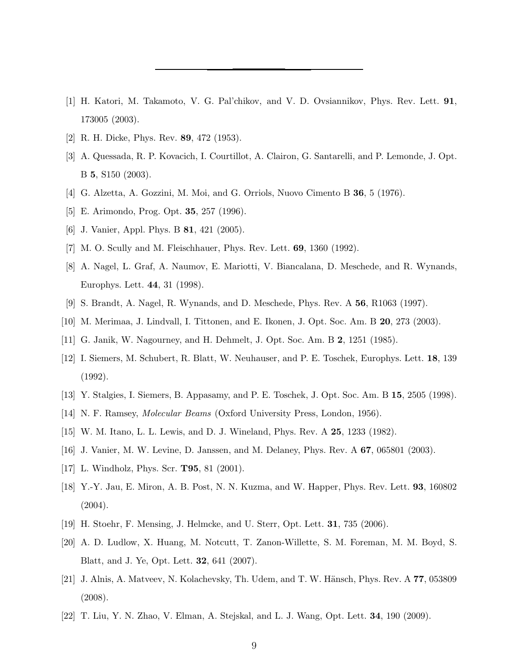- <span id="page-8-0"></span>[1] H. Katori, M. Takamoto, V. G. Pal'chikov, and V. D. Ovsiannikov, Phys. Rev. Lett. 91, 173005 (2003).
- <span id="page-8-2"></span><span id="page-8-1"></span>[2] R. H. Dicke, Phys. Rev. 89, 472 (1953).
- [3] A. Quessada, R. P. Kovacich, I. Courtillot, A. Clairon, G. Santarelli, and P. Lemonde, J. Opt. B 5, S150 (2003).
- <span id="page-8-4"></span><span id="page-8-3"></span>[4] G. Alzetta, A. Gozzini, M. Moi, and G. Orriols, Nuovo Cimento B 36, 5 (1976).
- <span id="page-8-5"></span>[5] E. Arimondo, Prog. Opt. 35, 257 (1996).
- <span id="page-8-6"></span>[6] J. Vanier, Appl. Phys. B 81, 421 (2005).
- <span id="page-8-7"></span>[7] M. O. Scully and M. Fleischhauer, Phys. Rev. Lett. 69, 1360 (1992).
- [8] A. Nagel, L. Graf, A. Naumov, E. Mariotti, V. Biancalana, D. Meschede, and R. Wynands, Europhys. Lett. 44, 31 (1998).
- <span id="page-8-8"></span>[9] S. Brandt, A. Nagel, R. Wynands, and D. Meschede, Phys. Rev. A 56, R1063 (1997).
- <span id="page-8-10"></span><span id="page-8-9"></span>[10] M. Merimaa, J. Lindvall, I. Tittonen, and E. Ikonen, J. Opt. Soc. Am. B 20, 273 (2003).
- <span id="page-8-11"></span>[11] G. Janik, W. Nagourney, and H. Dehmelt, J. Opt. Soc. Am. B 2, 1251 (1985).
- [12] I. Siemers, M. Schubert, R. Blatt, W. Neuhauser, and P. E. Toschek, Europhys. Lett. 18, 139 (1992).
- <span id="page-8-12"></span>[13] Y. Stalgies, I. Siemers, B. Appasamy, and P. E. Toschek, J. Opt. Soc. Am. B 15, 2505 (1998).
- <span id="page-8-13"></span>[14] N. F. Ramsey, Molecular Beams (Oxford University Press, London, 1956).
- <span id="page-8-15"></span><span id="page-8-14"></span>[15] W. M. Itano, L. L. Lewis, and D. J. Wineland, Phys. Rev. A 25, 1233 (1982).
- [16] J. Vanier, M. W. Levine, D. Janssen, and M. Delaney, Phys. Rev. A 67, 065801 (2003).
- <span id="page-8-16"></span>[17] L. Windholz, Phys. Scr. **T95**, 81 (2001).
- <span id="page-8-17"></span>[18] Y.-Y. Jau, E. Miron, A. B. Post, N. N. Kuzma, and W. Happer, Phys. Rev. Lett. 93, 160802  $(2004).$
- <span id="page-8-18"></span>[19] H. Stoehr, F. Mensing, J. Helmcke, and U. Sterr, Opt. Lett. 31, 735 (2006).
- <span id="page-8-19"></span>[20] A. D. Ludlow, X. Huang, M. Notcutt, T. Zanon-Willette, S. M. Foreman, M. M. Boyd, S. Blatt, and J. Ye, Opt. Lett. 32, 641 (2007).
- <span id="page-8-20"></span>[21] J. Alnis, A. Matveev, N. Kolachevsky, Th. Udem, and T. W. H¨ansch, Phys. Rev. A 77, 053809 (2008).
- <span id="page-8-21"></span>[22] T. Liu, Y. N. Zhao, V. Elman, A. Stejskal, and L. J. Wang, Opt. Lett. 34, 190 (2009).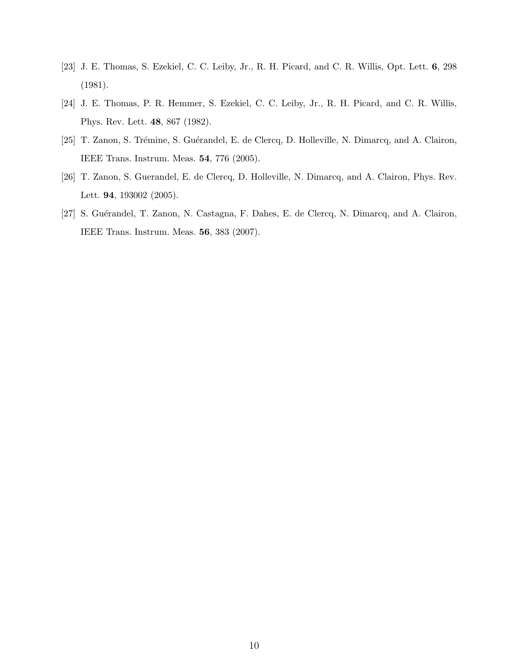- <span id="page-9-0"></span>[23] J. E. Thomas, S. Ezekiel, C. C. Leiby, Jr., R. H. Picard, and C. R. Willis, Opt. Lett. 6, 298 (1981).
- <span id="page-9-1"></span>[24] J. E. Thomas, P. R. Hemmer, S. Ezekiel, C. C. Leiby, Jr., R. H. Picard, and C. R. Willis, Phys. Rev. Lett. 48, 867 (1982).
- <span id="page-9-2"></span>[25] T. Zanon, S. Trémine, S. Guérandel, E. de Clercq, D. Holleville, N. Dimarcq, and A. Clairon, IEEE Trans. Instrum. Meas. 54, 776 (2005).
- <span id="page-9-3"></span>[26] T. Zanon, S. Guerandel, E. de Clercq, D. Holleville, N. Dimarcq, and A. Clairon, Phys. Rev. Lett. 94, 193002 (2005).
- <span id="page-9-4"></span>[27] S. Guérandel, T. Zanon, N. Castagna, F. Dahes, E. de Clercq, N. Dimarcq, and A. Clairon, IEEE Trans. Instrum. Meas. 56, 383 (2007).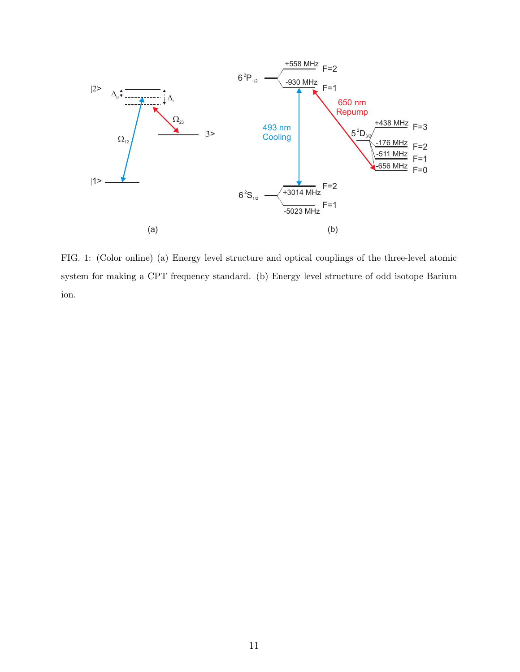

FIG. 1: (Color online) (a) Energy level structure and optical couplings of the three-level atomic system for making a CPT frequency standard. (b) Energy level structure of odd isotope Barium ion.